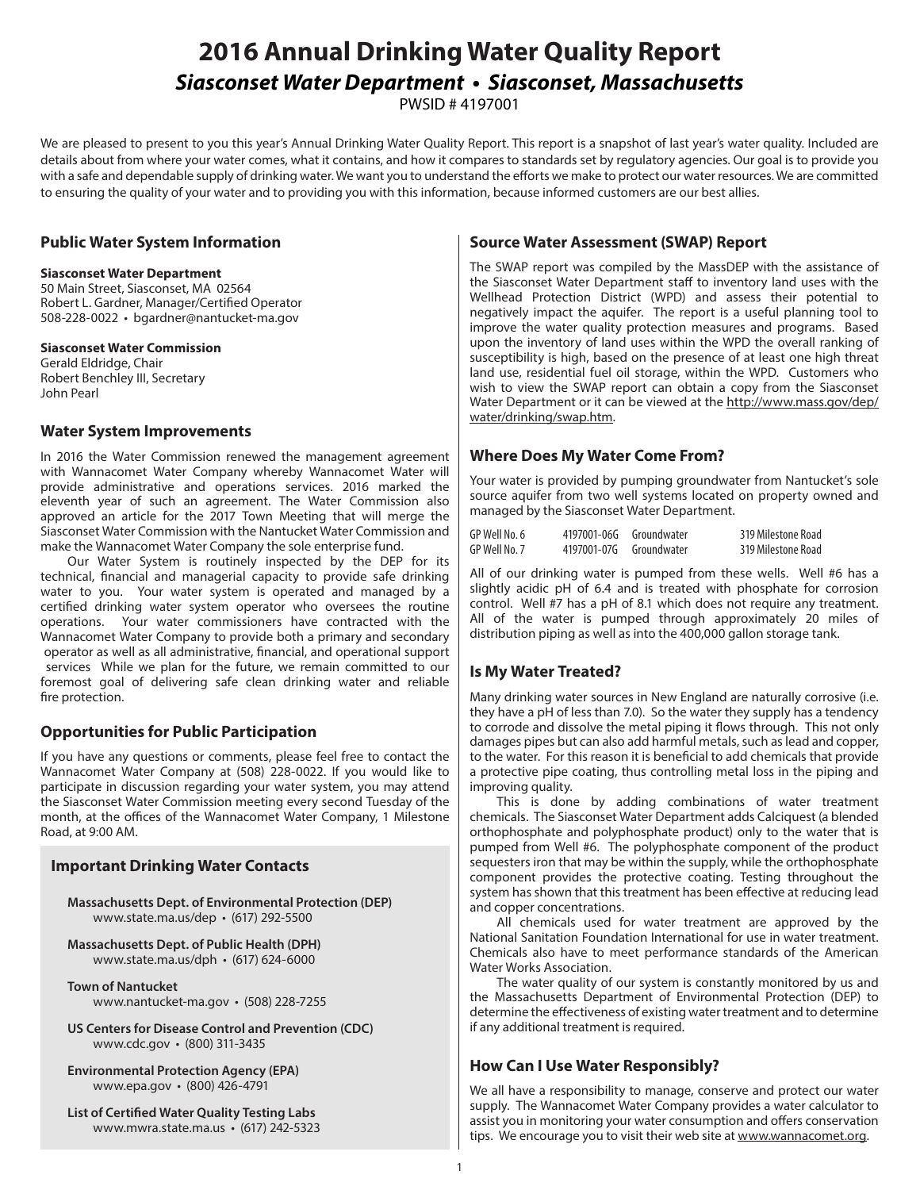# **2016 Annual Drinking Water Quality Report** *Siasconset Water Department • Siasconset, Massachusetts*

PWSID # 4197001

We are pleased to present to you this year's Annual Drinking Water Quality Report. This report is a snapshot of last year's water quality. Included are details about from where your water comes, what it contains, and how it compares to standards set by regulatory agencies. Our goal is to provide you with a safe and dependable supply of drinking water. We want you to understand the efforts we make to protect our water resources. We are committed to ensuring the quality of your water and to providing you with this information, because informed customers are our best allies.

### **Public Water System Information**

#### **Siasconset Water Department**

50 Main Street, Siasconset, MA 02564 Robert L. Gardner, Manager/Certified Operator 508-228-0022 • bgardner@nantucket-ma.gov

### **Siasconset Water Commission**

Gerald Eldridge, Chair Robert Benchley III, Secretary John Pearl

### **Water System Improvements**

In 2016 the Water Commission renewed the management agreement with Wannacomet Water Company whereby Wannacomet Water will provide administrative and operations services. 2016 marked the eleventh year of such an agreement. The Water Commission also approved an article for the 2017 Town Meeting that will merge the Siasconset Water Commission with the Nantucket Water Commission and make the Wannacomet Water Company the sole enterprise fund.

Our Water System is routinely inspected by the DEP for its technical, financial and managerial capacity to provide safe drinking water to you. Your water system is operated and managed by a certified drinking water system operator who oversees the routine operations. Your water commissioners have contracted with the Wannacomet Water Company to provide both a primary and secondary operator as well as all administrative, financial, and operational support services While we plan for the future, we remain committed to our foremost goal of delivering safe clean drinking water and reliable fire protection.

## **Opportunities for Public Participation**

If you have any questions or comments, please feel free to contact the Wannacomet Water Company at (508) 228-0022. If you would like to participate in discussion regarding your water system, you may attend the Siasconset Water Commission meeting every second Tuesday of the month, at the offices of the Wannacomet Water Company, 1 Milestone Road, at 9:00 AM.

### **Important Drinking Water Contacts**

**Massachusetts Dept. of Environmental Protection (DEP)**  www.state.ma.us/dep • (617) 292-5500

**Massachusetts Dept. of Public Health (DPH)**  www.state.ma.us/dph • (617) 624-6000

- **Town of Nantucket**  www.nantucket-ma.gov • (508) 228-7255
- **US Centers for Disease Control and Prevention (CDC)**  www.cdc.gov • (800) 311-3435
- **Environmental Protection Agency (EPA)**  www.epa.gov • (800) 426-4791
- **List of Certified Water Quality Testing Labs**  www.mwra.state.ma.us • (617) 242-5323

### **Source Water Assessment (SWAP) Report**

The SWAP report was compiled by the MassDEP with the assistance of the Siasconset Water Department staff to inventory land uses with the Wellhead Protection District (WPD) and assess their potential to negatively impact the aquifer. The report is a useful planning tool to improve the water quality protection measures and programs. Based upon the inventory of land uses within the WPD the overall ranking of susceptibility is high, based on the presence of at least one high threat land use, residential fuel oil storage, within the WPD. Customers who wish to view the SWAP report can obtain a copy from the Siasconset Water Department or it can be viewed at the http://www.mass.gov/dep/ water/drinking/swap.htm.

### **Where Does My Water Come From?**

Your water is provided by pumping groundwater from Nantucket's sole source aquifer from two well systems located on property owned and managed by the Siasconset Water Department.

| GP Well No. 6 | 4197001-06G Groundwater | 319 Milestone Road |
|---------------|-------------------------|--------------------|
| GP Well No. 7 | 4197001-07G Groundwater | 319 Milestone Road |

All of our drinking water is pumped from these wells. Well #6 has a slightly acidic pH of 6.4 and is treated with phosphate for corrosion control. Well #7 has a pH of 8.1 which does not require any treatment. All of the water is pumped through approximately 20 miles of distribution piping as well as into the 400,000 gallon storage tank.

### **Is My Water Treated?**

Many drinking water sources in New England are naturally corrosive (i.e. they have a pH of less than 7.0). So the water they supply has a tendency to corrode and dissolve the metal piping it flows through. This not only damages pipes but can also add harmful metals, such as lead and copper, to the water. For this reason it is beneficial to add chemicals that provide a protective pipe coating, thus controlling metal loss in the piping and improving quality.

This is done by adding combinations of water treatment chemicals. The Siasconset Water Department adds Calciquest (a blended orthophosphate and polyphosphate product) only to the water that is pumped from Well #6. The polyphosphate component of the product sequesters iron that may be within the supply, while the orthophosphate component provides the protective coating. Testing throughout the system has shown that this treatment has been effective at reducing lead and copper concentrations.

All chemicals used for water treatment are approved by the National Sanitation Foundation International for use in water treatment. Chemicals also have to meet performance standards of the American Water Works Association.

The water quality of our system is constantly monitored by us and the Massachusetts Department of Environmental Protection (DEP) to determine the effectiveness of existing water treatment and to determine if any additional treatment is required.

### **How Can I Use Water Responsibly?**

We all have a responsibility to manage, conserve and protect our water supply. The Wannacomet Water Company provides a water calculator to assist you in monitoring your water consumption and offers conservation tips. We encourage you to visit their web site at www.wannacomet.org.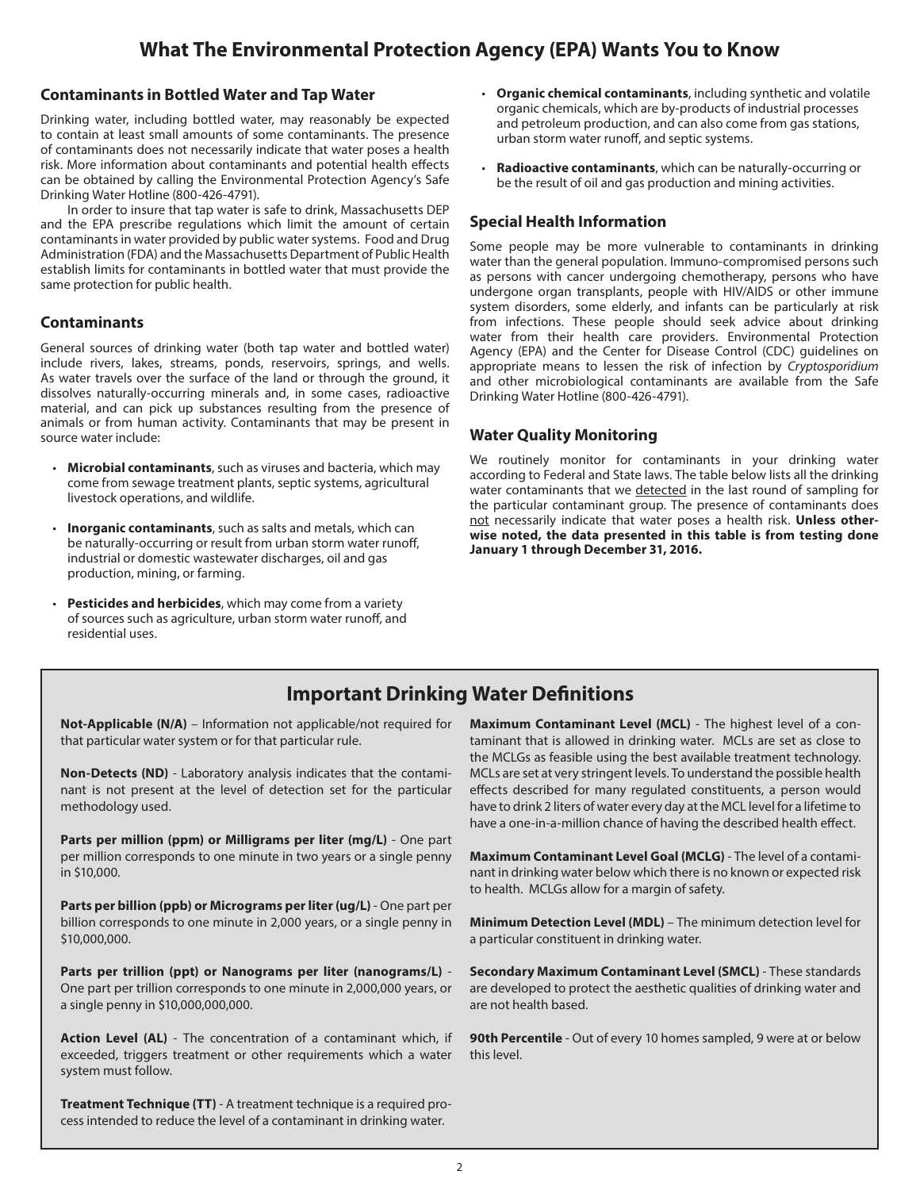# **What The Environmental Protection Agency (EPA) Wants You to Know**

### **Contaminants in Bottled Water and Tap Water**

Drinking water, including bottled water, may reasonably be expected to contain at least small amounts of some contaminants. The presence of contaminants does not necessarily indicate that water poses a health risk. More information about contaminants and potential health effects can be obtained by calling the Environmental Protection Agency's Safe Drinking Water Hotline (800-426-4791).

In order to insure that tap water is safe to drink, Massachusetts DEP and the EPA prescribe regulations which limit the amount of certain contaminants in water provided by public water systems. Food and Drug Administration (FDA) and the Massachusetts Department of Public Health establish limits for contaminants in bottled water that must provide the same protection for public health.

### **Contaminants**

General sources of drinking water (both tap water and bottled water) include rivers, lakes, streams, ponds, reservoirs, springs, and wells. As water travels over the surface of the land or through the ground, it dissolves naturally-occurring minerals and, in some cases, radioactive material, and can pick up substances resulting from the presence of animals or from human activity. Contaminants that may be present in source water include:

- **Microbial contaminants**, such as viruses and bacteria, which may come from sewage treatment plants, septic systems, agricultural livestock operations, and wildlife.
- **Inorganic contaminants**, such as salts and metals, which can be naturally-occurring or result from urban storm water runoff, industrial or domestic wastewater discharges, oil and gas production, mining, or farming.
- **Pesticides and herbicides**, which may come from a variety of sources such as agriculture, urban storm water runoff, and residential uses.
- **Organic chemical contaminants**, including synthetic and volatile organic chemicals, which are by-products of industrial processes and petroleum production, and can also come from gas stations, urban storm water runoff, and septic systems.
- **Radioactive contaminants**, which can be naturally-occurring or be the result of oil and gas production and mining activities.

### **Special Health Information**

Some people may be more vulnerable to contaminants in drinking water than the general population. Immuno-compromised persons such as persons with cancer undergoing chemotherapy, persons who have undergone organ transplants, people with HIV/AIDS or other immune system disorders, some elderly, and infants can be particularly at risk from infections. These people should seek advice about drinking water from their health care providers. Environmental Protection Agency (EPA) and the Center for Disease Control (CDC) guidelines on appropriate means to lessen the risk of infection by *Cryptosporidium* and other microbiological contaminants are available from the Safe Drinking Water Hotline (800-426-4791).

### **Water Quality Monitoring**

We routinely monitor for contaminants in your drinking water according to Federal and State laws. The table below lists all the drinking water contaminants that we detected in the last round of sampling for the particular contaminant group. The presence of contaminants does not necessarily indicate that water poses a health risk. **Unless otherwise noted, the data presented in this table is from testing done January 1 through December 31, 2016.** 

# **Important Drinking Water Definitions**

**Not-Applicable (N/A)** – Information not applicable/not required for that particular water system or for that particular rule.

**Non-Detects (ND)** - Laboratory analysis indicates that the contaminant is not present at the level of detection set for the particular methodology used.

**Parts per million (ppm) or Milligrams per liter (mg/L)** - One part per million corresponds to one minute in two years or a single penny in \$10,000.

**Parts per billion (ppb) or Micrograms per liter (ug/L)** - One part per billion corresponds to one minute in 2,000 years, or a single penny in \$10,000,000.

**Parts per trillion (ppt) or Nanograms per liter (nanograms/L)** - One part per trillion corresponds to one minute in 2,000,000 years, or a single penny in \$10,000,000,000.

**Action Level (AL)** - The concentration of a contaminant which, if exceeded, triggers treatment or other requirements which a water system must follow.

**Treatment Technique (TT)** - A treatment technique is a required process intended to reduce the level of a contaminant in drinking water.

**Maximum Contaminant Level (MCL)** - The highest level of a contaminant that is allowed in drinking water. MCLs are set as close to the MCLGs as feasible using the best available treatment technology. MCLs are set at very stringent levels. To understand the possible health effects described for many regulated constituents, a person would have to drink 2 liters of water every day at the MCL level for a lifetime to have a one-in-a-million chance of having the described health effect.

**Maximum Contaminant Level Goal (MCLG)** - The level of a contaminant in drinking water below which there is no known or expected risk to health. MCLGs allow for a margin of safety.

**Minimum Detection Level (MDL)** – The minimum detection level for a particular constituent in drinking water.

**Secondary Maximum Contaminant Level (SMCL)** - These standards are developed to protect the aesthetic qualities of drinking water and are not health based.

**90th Percentile** - Out of every 10 homes sampled, 9 were at or below this level.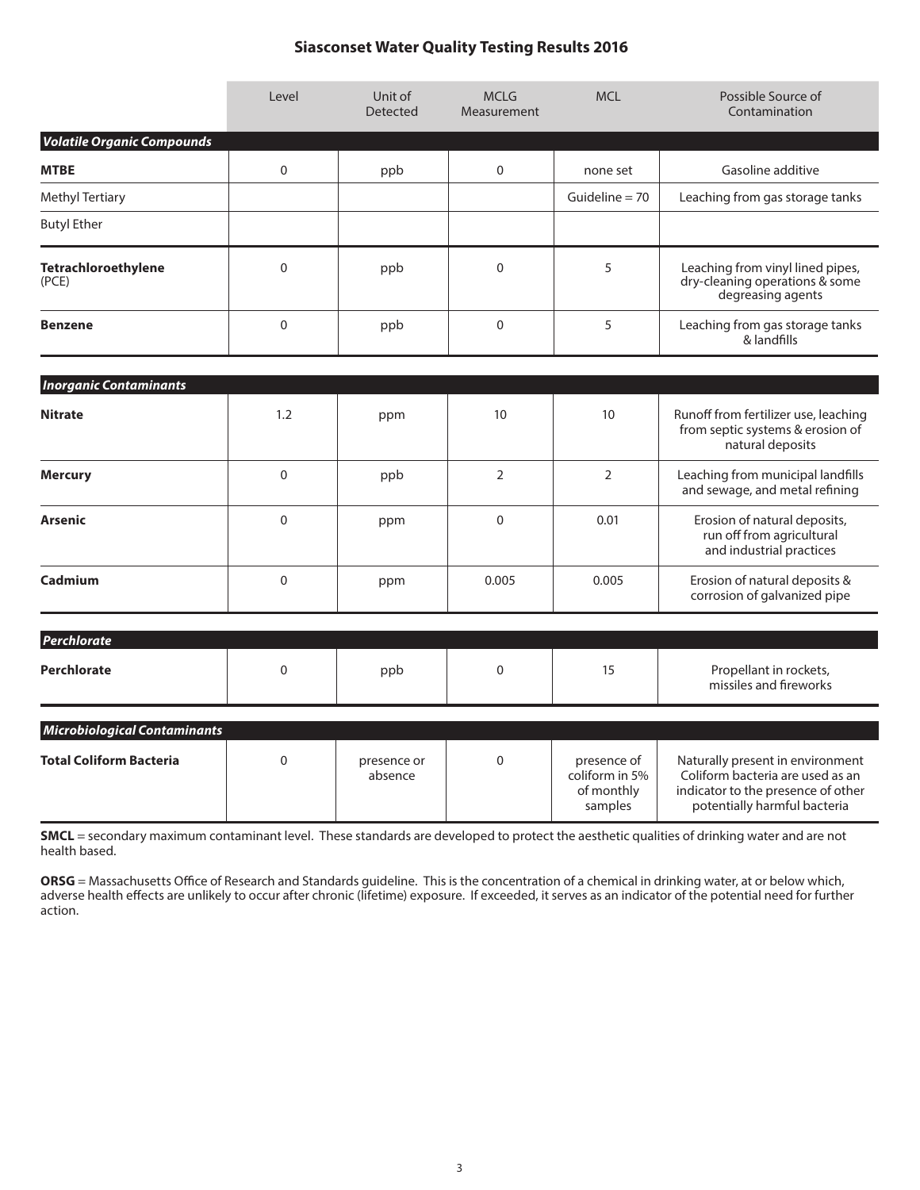### **Siasconset Water Quality Testing Results 2016**

|                                     | Level          | Unit of<br><b>Detected</b> | <b>MCLG</b><br>Measurement       | <b>MCL</b>                                             | Possible Source of<br>Contamination                                                                                                        |
|-------------------------------------|----------------|----------------------------|----------------------------------|--------------------------------------------------------|--------------------------------------------------------------------------------------------------------------------------------------------|
| <b>Volatile Organic Compounds</b>   |                |                            |                                  |                                                        |                                                                                                                                            |
| <b>MTBE</b>                         | $\mathbf 0$    | ppb                        | $\mathbf 0$                      | none set                                               | Gasoline additive                                                                                                                          |
| <b>Methyl Tertiary</b>              |                |                            |                                  | Guideline $= 70$                                       | Leaching from gas storage tanks                                                                                                            |
| <b>Butyl Ether</b>                  |                |                            |                                  |                                                        |                                                                                                                                            |
| Tetrachloroethylene<br>(PCE)        | $\overline{0}$ | ppb                        | 5<br>$\Omega$                    |                                                        | Leaching from vinyl lined pipes,<br>dry-cleaning operations & some<br>degreasing agents                                                    |
| <b>Benzene</b>                      | $\mathbf 0$    | ppb                        | $\mathbf 0$                      | 5                                                      | Leaching from gas storage tanks<br>& landfills                                                                                             |
| <b>Inorganic Contaminants</b>       |                |                            |                                  |                                                        |                                                                                                                                            |
| <b>Nitrate</b>                      | 1.2            | ppm                        | 10                               | 10                                                     | Runoff from fertilizer use, leaching<br>from septic systems & erosion of<br>natural deposits                                               |
| <b>Mercury</b>                      | $\overline{0}$ | ppb                        | $\overline{2}$<br>$\overline{2}$ |                                                        | Leaching from municipal landfills<br>and sewage, and metal refining                                                                        |
| <b>Arsenic</b>                      | $\overline{0}$ | ppm                        | $\Omega$<br>0.01                 |                                                        | Erosion of natural deposits,<br>run off from agricultural<br>and industrial practices                                                      |
| Cadmium                             | $\mathbf{0}$   | ppm                        | 0.005                            | 0.005                                                  | Erosion of natural deposits &<br>corrosion of galvanized pipe                                                                              |
| Perchlorate                         |                |                            |                                  |                                                        |                                                                                                                                            |
| <b>Perchlorate</b>                  | $\mathbf 0$    | ppb                        | $\mathbf 0$                      | 15                                                     | Propellant in rockets,<br>missiles and fireworks                                                                                           |
| <b>Microbiological Contaminants</b> |                |                            |                                  |                                                        |                                                                                                                                            |
| <b>Total Coliform Bacteria</b>      | $\mathbf 0$    | presence or<br>absence     | $\mathbf 0$                      | presence of<br>coliform in 5%<br>of monthly<br>samples | Naturally present in environment<br>Coliform bacteria are used as an<br>indicator to the presence of other<br>potentially harmful bacteria |

**SMCL** = secondary maximum contaminant level. These standards are developed to protect the aesthetic qualities of drinking water and are not health based.

**ORSG** = Massachusetts Office of Research and Standards guideline. This is the concentration of a chemical in drinking water, at or below which, adverse health effects are unlikely to occur after chronic (lifetime) exposure. If exceeded, it serves as an indicator of the potential need for further action.